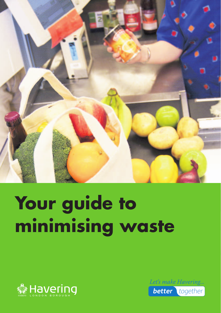

## **Your guide to minimising waste**



Let's make Havering... **better** together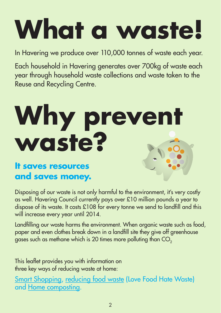# **What a waste!**

In Havering we produce over 110,000 tonnes of waste each year.

Each household in Havering generates over 700kg of waste each year through household waste collections and waste taken to the Reuse and Recycling Centre.

## Why prevent **waste?**

#### **It saves resources and saves money.**

Disposing of our waste is not only harmful to the environment, it's very costly as well. Havering Council currently pays over £10 million pounds a year to dispose of its waste. It costs £108 for every tonne we send to landfll and this will increase every year until 2014.

Landfilling our waste harms the environment. When organic waste such as food, paper and even clothes break down in a landfill site they give off greenhouse gases such as methane which is 20 times more polluting than CO<sub>2</sub>

This leaflet provides you with information on three key ways of reducing waste at home:

Smart Shopping, reducing food waste (Love Food Hate Waste) and Home composting.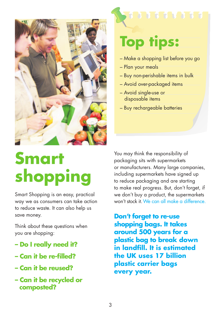

### **Smart shopping**

Smart Shopping is an easy, practical way we as consumers can take action to reduce waste. It can also help us save money.

Think about these questions when you are shopping:

- **Do I really need it?**
- **Can it be re-flled?**
- **Can it be reused?**
- **Can it be recycled or composted?**

### **Top tips:**

- Make a shopping list before you go
- Plan your meals
- Buy non-perishable items in bulk
- Avoid over-packaged items
- Avoid single-use or disposable items
- Buy rechargeable batteries

You may think the responsibility of packaging sits with supermarkets or manufacturers. Many large companies, including supermarkets have signed up to reduce packaging and are starting to make real progress. But, don't forget, if we don't buy a product, the supermarkets won't stock it. We can all make a difference.

**Don't forget to re-use shopping bags. It takes around 500 years for a plastic bag to break down in landfll. It is estimated the UK uses 17 billion plastic carrier bags every year.**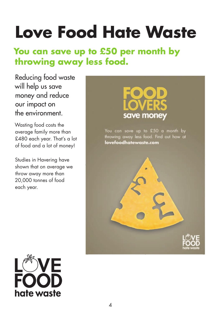## **Love Food Hate Waste**

### **You can save up to £50 per month by throwing away less food.**

Reducing food waste will help us save money and reduce our impact on the environment.

Wasting food costs the average family more than £480 each year. That's a lot of food and a lot of money!

Studies in Havering have shown that on average we throw away more than 20,000 tonnes of food each year.



You can save up to £50 a month by throwing away less food. Find out how at lovefoodhatewaste.com



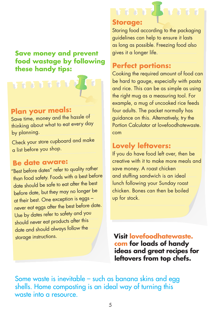#### **Save money and prevent food wastage by following these handy tips:**



#### **Plan your meals:**

Save time, money and the hassle of thinking about what to eat every day by planning.

Check your store cupboard and make a list before you shop.

#### **Be date aware:**

"Best before dates" refer to quality rather than food safety. Foods with a best before date should be safe to eat after the best before date, but they may no longer be at their best. One exception is eggs – never eat eggs after the best before date. Use by dates refer to safety and you should never eat products after this date and should always follow the storage instructions.

#### **Storage:**

Storing food according to the packaging guidelines can help to ensure it lasts as long as possible. Freezing food also gives it a longer life.

#### **Perfect portions:**

 example, a mug of uncooked rice feeds Cooking the required amount of food can be hard to gauge, especially with pasta and rice. This can be as simple as using the right mug as a measuring tool. For four adults. The packet normally has guidance on this. Alternatively, try the Portion Calculator at lovefoodhatewaste. com

#### **Lovely leftovers:**

If you do have food left over, then be creative with it to make more meals and save money. A roast chicken and stuffing sandwich is an ideal lunch following your Sunday roast chicken. Bones can then be boiled up for stock.

**Visit lovefoodhatewaste. com for loads of handy ideas and great recipes for leftovers from top chefs.** 

Some waste is inevitable – such as banana skins and egg shells. Home composting is an ideal way of turning this waste into a resource.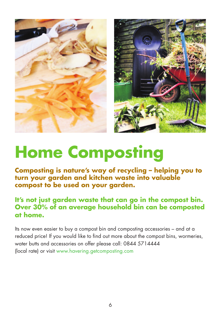



### **Home Composting**

**Composting is nature's way of recycling – helping you to turn your garden and kitchen waste into valuable compost to be used on your garden.** 

#### **It's not just garden waste that can go in the compost bin. Over 30% of an average household bin can be composted at home.**

Its now even easier to buy a compost bin and composting accessories – and at a reduced price! If you would like to find out more about the compost bins, wormeries, water butts and accessories on offer please call: 0844 5714444 (local rate) or visit<www.havering.getcomposting.com>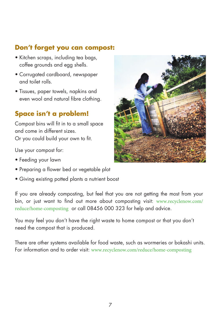#### **Don't forget you can compost:**

- Kitchen scraps, including tea bags, coffee grounds and egg shells.
- Corrugated cardboard, newspaper and toilet rolls.
- Tissues, paper towels, napkins and even wool and natural fibre clothing.

#### **Space isn't a problem!**

Compost bins will fit in to a small space and come in different sizes. Or you could build your own to fit.

Use your compost for:

- Feeding your lawn
- Preparing a flower bed or vegetable plot
- Giving existing potted plants a nutrient boost

 [reduce/home-composting](http://www.recyclenow.com/reduce/home-composting) or call 08456 000 323 for help and advice. If you are already composting, but feel that you are not getting the most from your bin, or just want to find out more about composting visit: [www.recyclenow.com/](http://www.recyclenow.com/reduce/home-composting)

You may feel you don't have the right waste to home compost or that you don't need the compost that is produced.

There are other systems available for food waste, such as wormeries or bokashi units. For information and to order visit: [www.recyclenow.com/reduce/home-composting](http://www.recyclenow.com/reduce/home-composting)